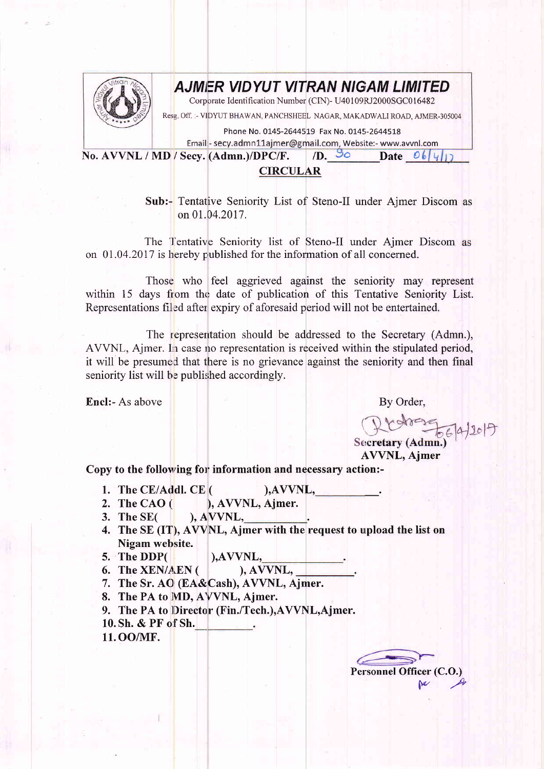

## **AJMER VIDYUT VITRAN NIGAM LIMITED**

Corporate Identification Number (CIN)- U40109RJ2000SGC016482

Resg. Off. :- VIDYUT BHAWAN, PANCHSHEEL NAGAR, MAKADWALI ROAD, AJMER-305004

Phone No. 0145-2644519 Fax No. 0145-2644518

Email - secy.admn11ajmer@gmail.com, Website:- www.avvnl.com

No. AVVNL / MD / Secv. (Admn.)/DPC/F.  $/D.50$ Date  $O_6|\psi|$ 

## **CIRCULAR**

Sub:- Tentative Seniority List of Steno-II under Ajmer Discom as on 01.04.2017.

The Tentative Seniority list of Steno-II under Ajmer Discom as on 01.04.2017 is hereby published for the information of all concerned.

Those who feel aggrieved against the seniority may represent within 15 days from the date of publication of this Tentative Seniority List. Representations filed after expiry of aforesaid period will not be entertained.

The representation should be addressed to the Secretary (Admn.), AVVNL, Aimer. In case no representation is received within the stipulated period. it will be presumed that there is no grievance against the seniority and then final seniority list will be published accordingly.

Encl:- As above

By Order,

Secretary (Admn.) **AVVNL, Ajmer** 

Copy to the following for information and necessary action:-

- 1. The CE/Addl. CE (  $AVVNL,$
- 2. The CAO $($ ), AVVNL, Ajmer.
- 3. The  $SE($  $AVVNL$ ,
- 4. The SE (IT), AVVNL, Ajmer with the request to upload the list on Nigam website.
- 5. The DDP(
- $AVVNL,$ 6. The XEN/AEN (
- ), AVVNL, 7. The Sr. AO (EA&Cash), AVVNL, Ajmer.
- 8. The PA to MD, AVVNL, Ajmer.
- 9. The PA to Director (Fin./Tech.), AVVNL, Ajmer.
- 10. Sh. & PF of Sh.
- 11.00/MF.

Personnel Officer (C.O.)